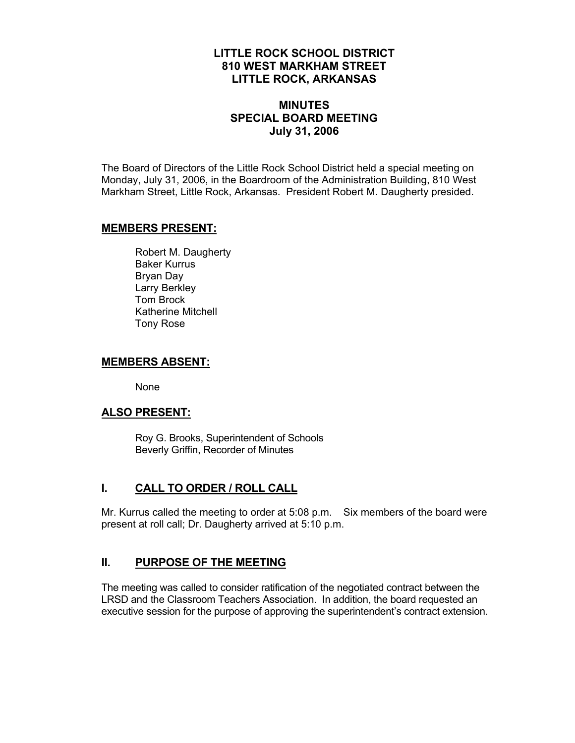## **LITTLE ROCK SCHOOL DISTRICT 810 WEST MARKHAM STREET LITTLE ROCK, ARKANSAS**

## **MINUTES SPECIAL BOARD MEETING July 31, 2006**

The Board of Directors of the Little Rock School District held a special meeting on Monday, July 31, 2006, in the Boardroom of the Administration Building, 810 West Markham Street, Little Rock, Arkansas. President Robert M. Daugherty presided.

#### **MEMBERS PRESENT:**

Robert M. Daugherty Baker Kurrus Bryan Day Larry Berkley Tom Brock Katherine Mitchell Tony Rose

#### **MEMBERS ABSENT:**

None

#### **ALSO PRESENT:**

 Roy G. Brooks, Superintendent of Schools Beverly Griffin, Recorder of Minutes

## **I. CALL TO ORDER / ROLL CALL**

Mr. Kurrus called the meeting to order at 5:08 p.m. Six members of the board were present at roll call; Dr. Daugherty arrived at 5:10 p.m.

#### **II. PURPOSE OF THE MEETING**

The meeting was called to consider ratification of the negotiated contract between the LRSD and the Classroom Teachers Association. In addition, the board requested an executive session for the purpose of approving the superintendent's contract extension.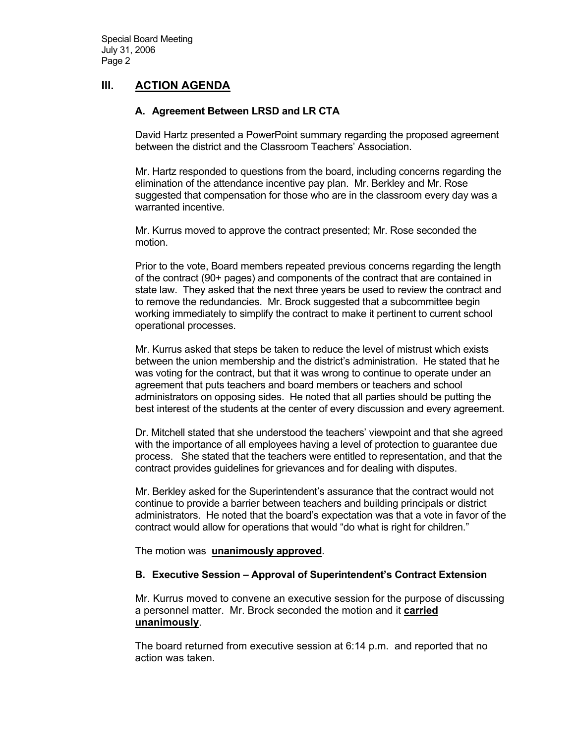# **III. ACTION AGENDA**

### **A. Agreement Between LRSD and LR CTA**

David Hartz presented a PowerPoint summary regarding the proposed agreement between the district and the Classroom Teachers' Association.

Mr. Hartz responded to questions from the board, including concerns regarding the elimination of the attendance incentive pay plan. Mr. Berkley and Mr. Rose suggested that compensation for those who are in the classroom every day was a warranted incentive.

Mr. Kurrus moved to approve the contract presented; Mr. Rose seconded the motion.

Prior to the vote, Board members repeated previous concerns regarding the length of the contract (90+ pages) and components of the contract that are contained in state law. They asked that the next three years be used to review the contract and to remove the redundancies. Mr. Brock suggested that a subcommittee begin working immediately to simplify the contract to make it pertinent to current school operational processes.

Mr. Kurrus asked that steps be taken to reduce the level of mistrust which exists between the union membership and the district's administration. He stated that he was voting for the contract, but that it was wrong to continue to operate under an agreement that puts teachers and board members or teachers and school administrators on opposing sides. He noted that all parties should be putting the best interest of the students at the center of every discussion and every agreement.

Dr. Mitchell stated that she understood the teachers' viewpoint and that she agreed with the importance of all employees having a level of protection to guarantee due process. She stated that the teachers were entitled to representation, and that the contract provides guidelines for grievances and for dealing with disputes.

Mr. Berkley asked for the Superintendent's assurance that the contract would not continue to provide a barrier between teachers and building principals or district administrators. He noted that the board's expectation was that a vote in favor of the contract would allow for operations that would "do what is right for children."

The motion was **unanimously approved**.

#### **B. Executive Session – Approval of Superintendent's Contract Extension**

Mr. Kurrus moved to convene an executive session for the purpose of discussing a personnel matter. Mr. Brock seconded the motion and it **carried unanimously**.

The board returned from executive session at 6:14 p.m. and reported that no action was taken.